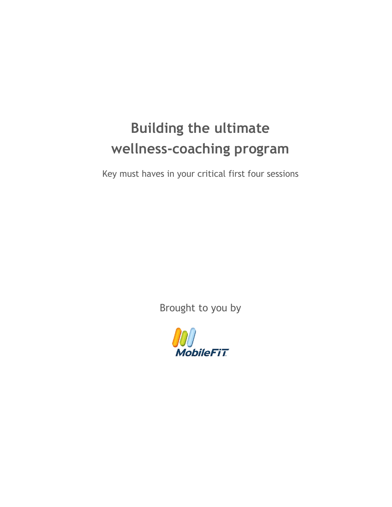# **Building the ultimate wellness-coaching program**

Key must haves in your critical first four sessions

Brought to you by

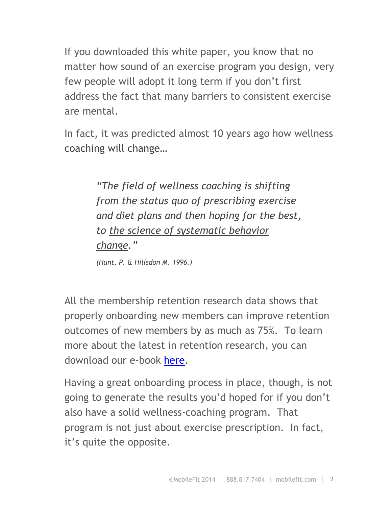If you downloaded this white paper, you know that no matter how sound of an exercise program you design, very few people will adopt it long term if you don't first address the fact that many barriers to consistent exercise are mental.

In fact, it was predicted almost 10 years ago how wellness coaching will change…

> *"The field of wellness coaching is shifting from the status quo of prescribing exercise and diet plans and then hoping for the best, to the science of systematic behavior change."*

*(Hunt, P. & Hillsdon M. 1996.)*

All the membership retention research data shows that properly onboarding new members can improve retention outcomes of new members by as much as 75%. To learn more about the latest in retention research, you can download our e-book [here.](http://go.mobilefit.com/the-science-of-member-retention)

Having a great onboarding process in place, though, is not going to generate the results you'd hoped for if you don't also have a solid wellness-coaching program. That program is not just about exercise prescription. In fact, it's quite the opposite.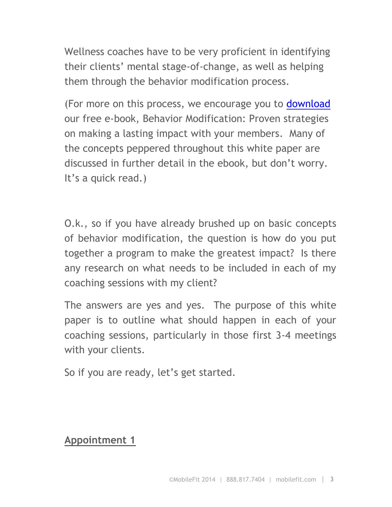Wellness coaches have to be very proficient in identifying their clients' mental stage-of-change, as well as helping them through the behavior modification process.

(For more on this process, we encourage you to [download](http://go.mobilefit.com/behavior-modification) our free e-book, Behavior Modification: Proven strategies on making a lasting impact with your members. Many of the concepts peppered throughout this white paper are discussed in further detail in the ebook, but don't worry. It's a quick read.)

O.k., so if you have already brushed up on basic concepts of behavior modification, the question is how do you put together a program to make the greatest impact? Is there any research on what needs to be included in each of my coaching sessions with my client?

The answers are yes and yes. The purpose of this white paper is to outline what should happen in each of your coaching sessions, particularly in those first 3-4 meetings with your clients.

So if you are ready, let's get started.

#### **Appointment 1**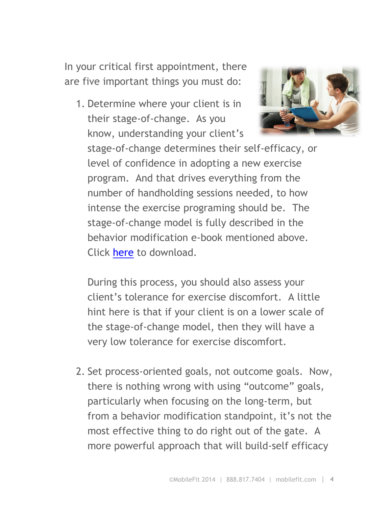In your critical first appointment, there are five important things you must do:

1. Determine where your client is in their stage-of-change. As you know, understanding your client's



stage-of-change determines their self-efficacy, or level of confidence in adopting a new exercise program. And that drives everything from the number of handholding sessions needed, to how intense the exercise programing should be. The stage-of-change model is fully described in the behavior modification e-book mentioned above. Click [here](http://go.mobilefit.com/behavior-modification) to download.

During this process, you should also assess your client's tolerance for exercise discomfort. A little hint here is that if your client is on a lower scale of the stage-of-change model, then they will have a very low tolerance for exercise discomfort.

2. Set process-oriented goals, not outcome goals. Now, there is nothing wrong with using "outcome" goals, particularly when focusing on the long-term, but from a behavior modification standpoint, it's not the most effective thing to do right out of the gate. A more powerful approach that will build-self efficacy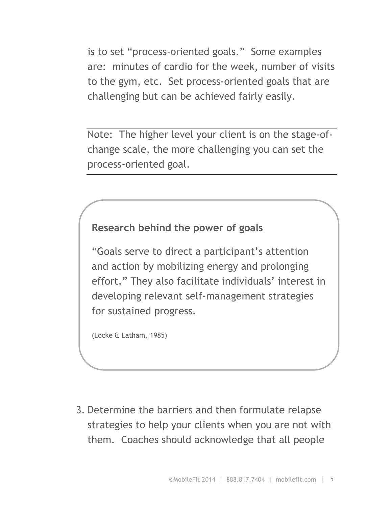is to set "process-oriented goals." Some examples are: minutes of cardio for the week, number of visits to the gym, etc. Set process-oriented goals that are challenging but can be achieved fairly easily.

Note: The higher level your client is on the stage-ofchange scale, the more challenging you can set the process-oriented goal.

## **Research behind the power of goals**

"Goals serve to direct a participant's attention and action by mobilizing energy and prolonging effort." They also facilitate individuals' interest in developing relevant self-management strategies for sustained progress.

(Locke & Latham, 1985)

3. Determine the barriers and then formulate relapse strategies to help your clients when you are not with them. Coaches should acknowledge that all people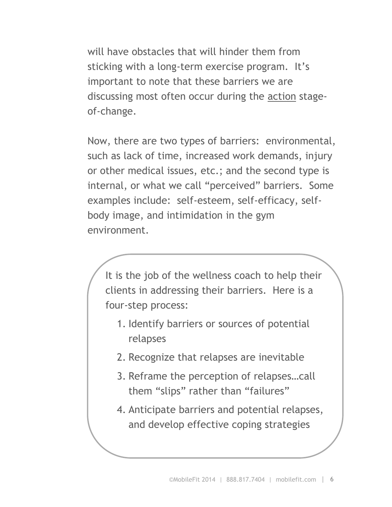will have obstacles that will hinder them from sticking with a long-term exercise program. It's important to note that these barriers we are discussing most often occur during the action stageof-change.

Now, there are two types of barriers: environmental, such as lack of time, increased work demands, injury or other medical issues, etc.; and the second type is internal, or what we call "perceived" barriers. Some examples include: self-esteem, self-efficacy, selfbody image, and intimidation in the gym environment.

It is the job of the wellness coach to help their clients in addressing their barriers. Here is a four-step process:

- 1. Identify barriers or sources of potential relapses
- 2. Recognize that relapses are inevitable
- 3. Reframe the perception of relapses…call them "slips" rather than "failures"
- 4. Anticipate barriers and potential relapses, and develop effective coping strategies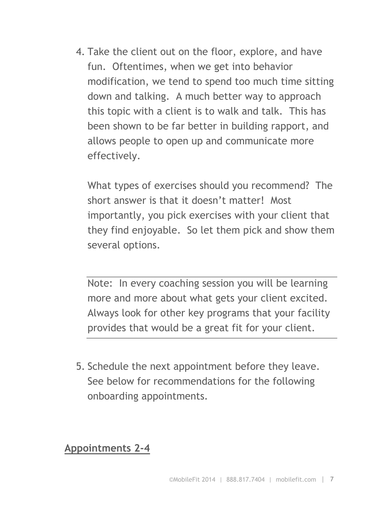4. Take the client out on the floor, explore, and have fun. Oftentimes, when we get into behavior modification, we tend to spend too much time sitting down and talking. A much better way to approach this topic with a client is to walk and talk. This has been shown to be far better in building rapport, and allows people to open up and communicate more effectively.

What types of exercises should you recommend? The short answer is that it doesn't matter! Most importantly, you pick exercises with your client that they find enjoyable. So let them pick and show them several options.

Note: In every coaching session you will be learning more and more about what gets your client excited. Always look for other key programs that your facility provides that would be a great fit for your client.

5. Schedule the next appointment before they leave. See below for recommendations for the following onboarding appointments.

**Appointments 2-4**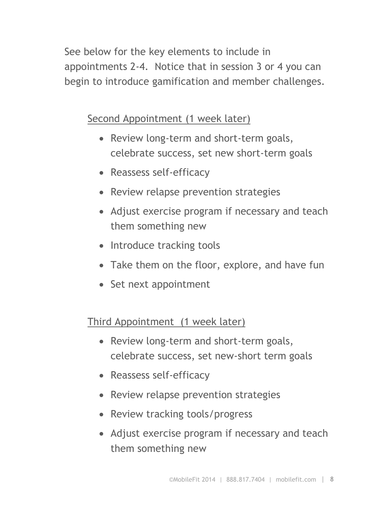See below for the key elements to include in appointments 2-4. Notice that in session 3 or 4 you can begin to introduce gamification and member challenges.

Second Appointment (1 week later)

- Review long-term and short-term goals, celebrate success, set new short-term goals
- Reassess self-efficacy
- Review relapse prevention strategies
- Adjust exercise program if necessary and teach them something new
- Introduce tracking tools
- Take them on the floor, explore, and have fun
- Set next appointment

Third Appointment (1 week later)

- Review long-term and short-term goals, celebrate success, set new-short term goals
- Reassess self-efficacy
- Review relapse prevention strategies
- Review tracking tools/progress
- Adjust exercise program if necessary and teach them something new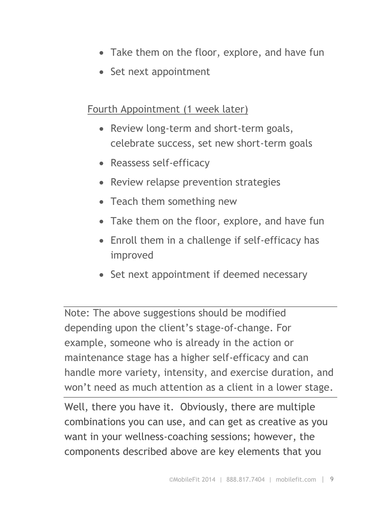- Take them on the floor, explore, and have fun
- Set next appointment

### Fourth Appointment (1 week later)

- Review long-term and short-term goals, celebrate success, set new short-term goals
- Reassess self-efficacy
- Review relapse prevention strategies
- Teach them something new
- Take them on the floor, explore, and have fun
- Enroll them in a challenge if self-efficacy has improved
- Set next appointment if deemed necessary

Note: The above suggestions should be modified depending upon the client's stage-of-change. For example, someone who is already in the action or maintenance stage has a higher self-efficacy and can handle more variety, intensity, and exercise duration, and won't need as much attention as a client in a lower stage.

Well, there you have it. Obviously, there are multiple combinations you can use, and can get as creative as you want in your wellness-coaching sessions; however, the components described above are key elements that you